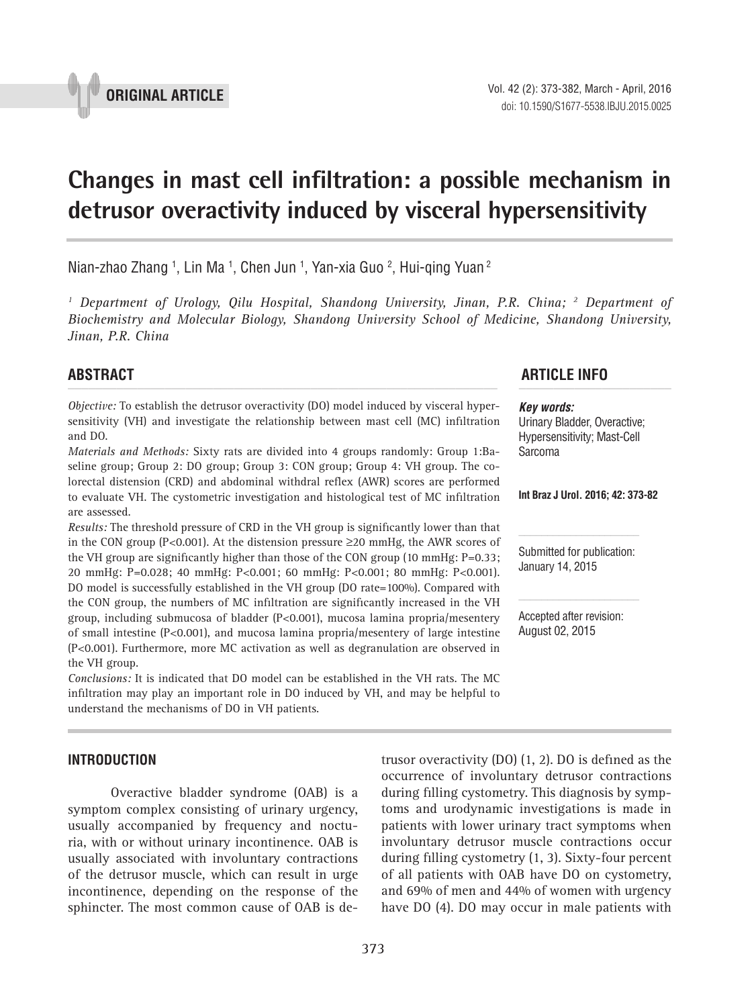

# **Changes in mast cell infiltration: a possible mechanism in detrusor overactivity induced by visceral hypersensitivity \_\_\_\_\_\_\_\_\_\_\_\_\_\_\_\_\_\_\_\_\_\_\_\_\_\_\_\_\_\_\_\_\_\_\_\_\_\_\_\_\_\_\_\_\_\_\_**

Nian-zhao Zhang <sup>1</sup>, Lin Ma <sup>1</sup>, Chen Jun <sup>1</sup>, Yan-xia Guo <sup>2</sup>, Hui-qing Yuan <del>2</del>

<sup>1</sup> Department of Urology, Qilu Hospital, Shandong University, Jinan, P.R. China; <sup>2</sup> Department of *Biochemistry and Molecular Biology, Shandong University School of Medicine, Shandong University, Jinan, P.R. China*

*Objective:* To establish the detrusor overactivity (DO) model induced by visceral hypersensitivity (VH) and investigate the relationship between mast cell (MC) infiltration and DO.

*Materials and Methods:* Sixty rats are divided into 4 groups randomly: Group 1:Baseline group; Group 2: DO group; Group 3: CON group; Group 4: VH group. The colorectal distension (CRD) and abdominal withdral reflex (AWR) scores are performed to evaluate VH. The cystometric investigation and histological test of MC infiltration are assessed.

*Results:* The threshold pressure of CRD in the VH group is significantly lower than that in the CON group (P<0.001). At the distension pressure ≥20 mmHg, the AWR scores of the VH group are significantly higher than those of the CON group (10 mmHg:  $P=0.33$ ; 20 mmHg: P=0.028; 40 mmHg: P<0.001; 60 mmHg: P<0.001; 80 mmHg: P<0.001). DO model is successfully established in the VH group (DO rate=100%). Compared with the CON group, the numbers of MC infiltration are significantly increased in the VH group, including submucosa of bladder (P<0.001), mucosa lamina propria/mesentery of small intestine (P<0.001), and mucosa lamina propria/mesentery of large intestine (P<0.001). Furthermore, more MC activation as well as degranulation are observed in the VH group.

*Conclusions:* It is indicated that DO model can be established in the VH rats. The MC infiltration may play an important role in DO induced by VH, and may be helpful to understand the mechanisms of DO in VH patients.

# **INTRODUCTION**

Overactive bladder syndrome (OAB) is a symptom complex consisting of urinary urgency, usually accompanied by frequency and nocturia, with or without urinary incontinence. OAB is usually associated with involuntary contractions of the detrusor muscle, which can result in urge incontinence, depending on the response of the sphincter. The most common cause of OAB is de-

373

# **ABSTRACT ARTICLE INFO** *\_\_\_\_\_\_\_\_\_\_\_\_\_\_\_\_\_\_\_\_\_\_\_\_\_\_\_\_\_\_\_\_\_\_\_\_\_\_\_\_\_\_\_\_\_\_\_\_\_\_\_\_\_\_\_\_\_\_\_\_\_\_ \_\_\_\_\_\_\_\_\_\_\_\_\_\_\_\_\_\_\_\_\_\_*

*Key words:* Urinary Bladder, Overactive; Hypersensitivity; Mast-Cell Sarcoma

#### **Int Braz J Urol. 2016; 42: 373-82**

Submitted for publication: January 14, 2015

Accepted after revision: August 02, 2015

trusor overactivity (DO) (1, 2). DO is defined as the occurrence of involuntary detrusor contractions during filling cystometry. This diagnosis by symptoms and urodynamic investigations is made in patients with lower urinary tract symptoms when involuntary detrusor muscle contractions occur during filling cystometry (1, 3). Sixty-four percent of all patients with OAB have DO on cystometry, and 69% of men and 44% of women with urgency have DO (4). DO may occur in male patients with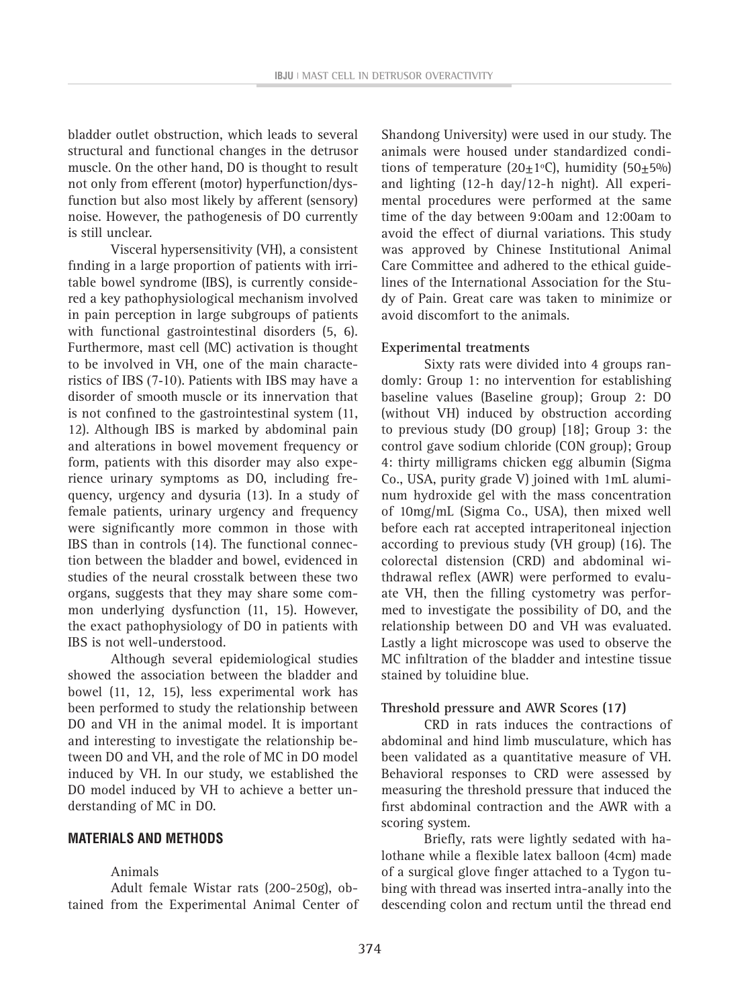bladder outlet obstruction, which leads to several structural and functional changes in the detrusor muscle. On the other hand, DO is thought to result not only from efferent (motor) hyperfunction/dysfunction but also most likely by afferent (sensory) noise. However, the pathogenesis of DO currently is still unclear.

Visceral hypersensitivity (VH), a consistent finding in a large proportion of patients with irritable bowel syndrome (IBS), is currently considered a key pathophysiological mechanism involved in pain perception in large subgroups of patients with functional gastrointestinal disorders (5, 6). Furthermore, mast cell (MC) activation is thought to be involved in VH, one of the main characteristics of IBS (7-10). Patients with IBS may have a disorder of smooth muscle or its innervation that is not confined to the gastrointestinal system (11, 12). Although IBS is marked by abdominal pain and alterations in bowel movement frequency or form, patients with this disorder may also experience urinary symptoms as DO, including frequency, urgency and dysuria (13). In a study of female patients, urinary urgency and frequency were significantly more common in those with IBS than in controls (14). The functional connection between the bladder and bowel, evidenced in studies of the neural crosstalk between these two organs, suggests that they may share some common underlying dysfunction (11, 15). However, the exact pathophysiology of DO in patients with IBS is not well-understood.

Although several epidemiological studies showed the association between the bladder and bowel (11, 12, 15), less experimental work has been performed to study the relationship between DO and VH in the animal model. It is important and interesting to investigate the relationship between DO and VH, and the role of MC in DO model induced by VH. In our study, we established the DO model induced by VH to achieve a better understanding of MC in DO.

#### **MATERIALS AND METHODS**

#### Animals

Adult female Wistar rats (200-250g), obtained from the Experimental Animal Center of Shandong University) were used in our study. The animals were housed under standardized conditions of temperature  $(20+1°C)$ , humidity  $(50+5\%)$ and lighting (12-h day/12-h night). All experimental procedures were performed at the same time of the day between 9:00am and 12:00am to avoid the effect of diurnal variations. This study was approved by Chinese Institutional Animal Care Committee and adhered to the ethical guidelines of the International Association for the Study of Pain. Great care was taken to minimize or avoid discomfort to the animals.

### **Experimental treatments**

Sixty rats were divided into 4 groups randomly: Group 1: no intervention for establishing baseline values (Baseline group); Group 2: DO (without VH) induced by obstruction according to previous study (DO group) [18]; Group 3: the control gave sodium chloride (CON group); Group 4: thirty milligrams chicken egg albumin (Sigma Co., USA, purity grade V) joined with 1mL aluminum hydroxide gel with the mass concentration of 10mg/mL (Sigma Co., USA), then mixed well before each rat accepted intraperitoneal injection according to previous study (VH group) (16). The colorectal distension (CRD) and abdominal withdrawal reflex (AWR) were performed to evaluate VH, then the filling cystometry was performed to investigate the possibility of DO, and the relationship between DO and VH was evaluated. Lastly a light microscope was used to observe the MC infiltration of the bladder and intestine tissue stained by toluidine blue.

#### **Threshold pressure and AWR Scores (17)**

CRD in rats induces the contractions of abdominal and hind limb musculature, which has been validated as a quantitative measure of VH. Behavioral responses to CRD were assessed by measuring the threshold pressure that induced the first abdominal contraction and the AWR with a scoring system.

Briefly, rats were lightly sedated with halothane while a flexible latex balloon (4cm) made of a surgical glove finger attached to a Tygon tubing with thread was inserted intra-anally into the descending colon and rectum until the thread end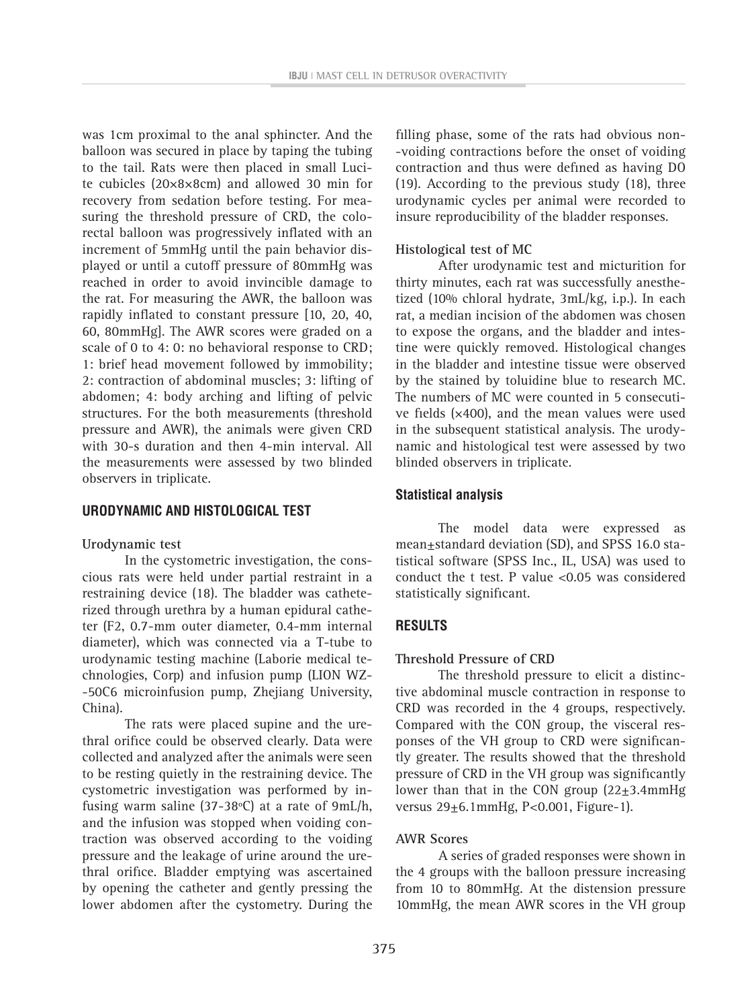was 1cm proximal to the anal sphincter. And the balloon was secured in place by taping the tubing to the tail. Rats were then placed in small Lucite cubicles (20×8×8cm) and allowed 30 min for recovery from sedation before testing. For measuring the threshold pressure of CRD, the colorectal balloon was progressively inflated with an increment of 5mmHg until the pain behavior displayed or until a cutoff pressure of 80mmHg was reached in order to avoid invincible damage to the rat. For measuring the AWR, the balloon was rapidly inflated to constant pressure [10, 20, 40, 60, 80mmHg]. The AWR scores were graded on a scale of 0 to 4: 0: no behavioral response to CRD; 1: brief head movement followed by immobility; 2: contraction of abdominal muscles; 3: lifting of abdomen; 4: body arching and lifting of pelvic structures. For the both measurements (threshold pressure and AWR), the animals were given CRD with 30-s duration and then 4-min interval. All the measurements were assessed by two blinded observers in triplicate.

### **URODYNAMIC AND HISTOLOGICAL TEST**

#### **Urodynamic test**

In the cystometric investigation, the conscious rats were held under partial restraint in a restraining device (18). The bladder was catheterized through urethra by a human epidural catheter (F2, 0.7-mm outer diameter, 0.4-mm internal diameter), which was connected via a T-tube to urodynamic testing machine (Laborie medical technologies, Corp) and infusion pump (LION WZ- -50C6 microinfusion pump, Zhejiang University, China).

The rats were placed supine and the urethral orifice could be observed clearly. Data were collected and analyzed after the animals were seen to be resting quietly in the restraining device. The cystometric investigation was performed by infusing warm saline (37-38 $\degree$ C) at a rate of 9mL/h, and the infusion was stopped when voiding contraction was observed according to the voiding pressure and the leakage of urine around the urethral orifice. Bladder emptying was ascertained by opening the catheter and gently pressing the lower abdomen after the cystometry. During the

filling phase, some of the rats had obvious non- -voiding contractions before the onset of voiding contraction and thus were defined as having DO (19). According to the previous study (18), three urodynamic cycles per animal were recorded to insure reproducibility of the bladder responses.

#### **Histological test of MC**

After urodynamic test and micturition for thirty minutes, each rat was successfully anesthetized (10% chloral hydrate, 3mL/kg, i.p.). In each rat, a median incision of the abdomen was chosen to expose the organs, and the bladder and intestine were quickly removed. Histological changes in the bladder and intestine tissue were observed by the stained by toluidine blue to research MC. The numbers of MC were counted in 5 consecutive fields (×400), and the mean values were used in the subsequent statistical analysis. The urodynamic and histological test were assessed by two blinded observers in triplicate.

# **Statistical analysis**

The model data were expressed as mean±standard deviation (SD), and SPSS 16.0 statistical software (SPSS Inc., IL, USA) was used to conduct the t test. P value <0.05 was considered statistically significant.

#### **RESULTS**

#### **Threshold Pressure of CRD**

The threshold pressure to elicit a distinctive abdominal muscle contraction in response to CRD was recorded in the 4 groups, respectively. Compared with the CON group, the visceral responses of the VH group to CRD were significantly greater. The results showed that the threshold pressure of CRD in the VH group was significantly lower than that in the CON group  $(22\pm3.4 \text{mm})$ versus 29±6.1mmHg, P<0.001, Figure-1).

#### **AWR Scores**

A series of graded responses were shown in the 4 groups with the balloon pressure increasing from 10 to 80mmHg. At the distension pressure 10mmHg, the mean AWR scores in the VH group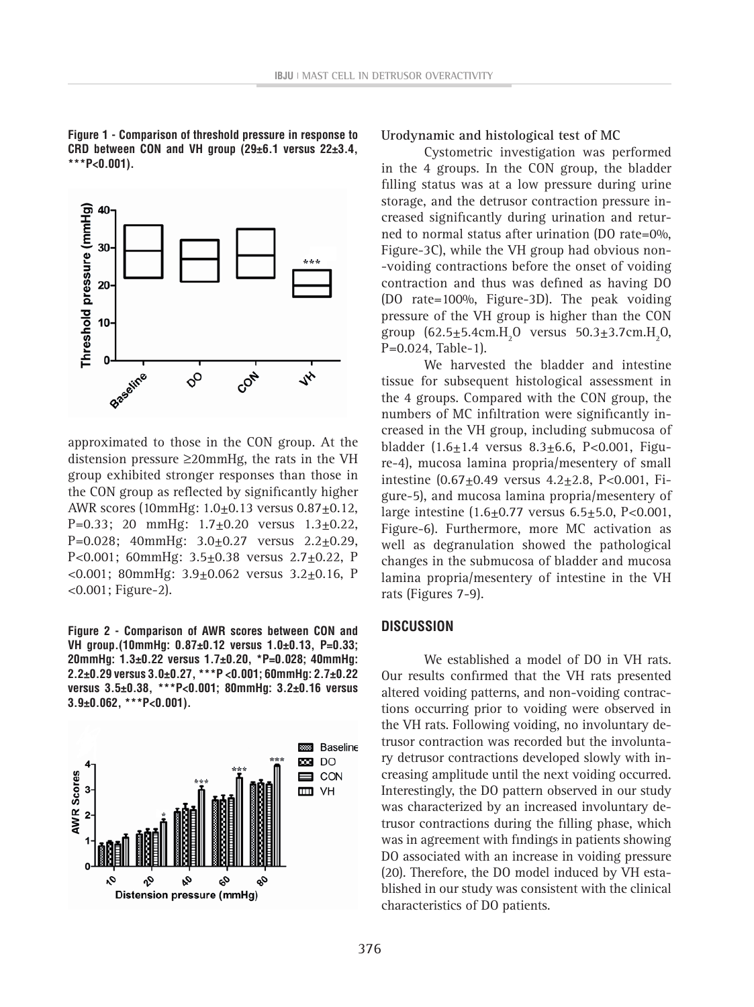**Figure 1 - Comparison of threshold pressure in response to CRD between CON and VH group (29±6.1 versus 22±3.4, \*\*\*P<0.001).**



approximated to those in the CON group. At the distension pressure ≥20mmHg, the rats in the VH group exhibited stronger responses than those in the CON group as reflected by significantly higher AWR scores (10mmHg: 1.0±0.13 versus 0.87±0.12, P=0.33; 20 mmHg:  $1.7 \pm 0.20$  versus  $1.3 \pm 0.22$ , P=0.028; 40mmHg:  $3.0 \pm 0.27$  versus  $2.2 \pm 0.29$ , P<0.001; 60mmHg:  $3.5\pm0.38$  versus  $2.7\pm0.22$ , P  $< 0.001$ ; 80mmHg: 3.9 $\pm$ 0.062 versus 3.2 $\pm$ 0.16, P <0.001; Figure-2).

**Figure 2 - Comparison of AWR scores between CON and VH group.(10mmHg: 0.87±0.12 versus 1.0±0.13, P=0.33; 20mmHg: 1.3±0.22 versus 1.7±0.20, \*P=0.028; 40mmHg: 2.2±0.29 versus 3.0±0.27, \*\*\*P <0.001; 60mmHg: 2.7±0.22 versus 3.5±0.38, \*\*\*P<0.001; 80mmHg: 3.2±0.16 versus 3.9±0.062, \*\*\*P<0.001).**



**Urodynamic and histological test of MC**

Cystometric investigation was performed in the 4 groups. In the CON group, the bladder filling status was at a low pressure during urine storage, and the detrusor contraction pressure increased significantly during urination and returned to normal status after urination (DO rate=0%, Figure-3C), while the VH group had obvious non- -voiding contractions before the onset of voiding contraction and thus was defined as having DO (DO rate=100%, Figure-3D). The peak voiding pressure of the VH group is higher than the CON group  $(62.5 \pm 5.4 \text{cm} \cdot \text{H}_2\text{O}$  versus  $50.3 \pm 3.7 \text{cm} \cdot \text{H}_2\text{O}$ , P=0.024, Table-1).

We harvested the bladder and intestine tissue for subsequent histological assessment in the 4 groups. Compared with the CON group, the numbers of MC infiltration were significantly increased in the VH group, including submucosa of bladder  $(1.6 \pm 1.4$  versus  $8.3 \pm 6.6$ , P<0.001, Figure-4), mucosa lamina propria/mesentery of small intestine (0.67±0.49 versus 4.2±2.8, P<0.001, Figure-5), and mucosa lamina propria/mesentery of large intestine  $(1.6 \pm 0.77 \text{ versus } 6.5 \pm 5.0, \text{ P} < 0.001,$ Figure-6). Furthermore, more MC activation as well as degranulation showed the pathological changes in the submucosa of bladder and mucosa lamina propria/mesentery of intestine in the VH rats (Figures 7-9).

#### **DISCUSSION**

We established a model of DO in VH rats. Our results confirmed that the VH rats presented altered voiding patterns, and non-voiding contractions occurring prior to voiding were observed in the VH rats. Following voiding, no involuntary detrusor contraction was recorded but the involuntary detrusor contractions developed slowly with increasing amplitude until the next voiding occurred. Interestingly, the DO pattern observed in our study was characterized by an increased involuntary detrusor contractions during the filling phase, which was in agreement with findings in patients showing DO associated with an increase in voiding pressure (20). Therefore, the DO model induced by VH established in our study was consistent with the clinical characteristics of DO patients.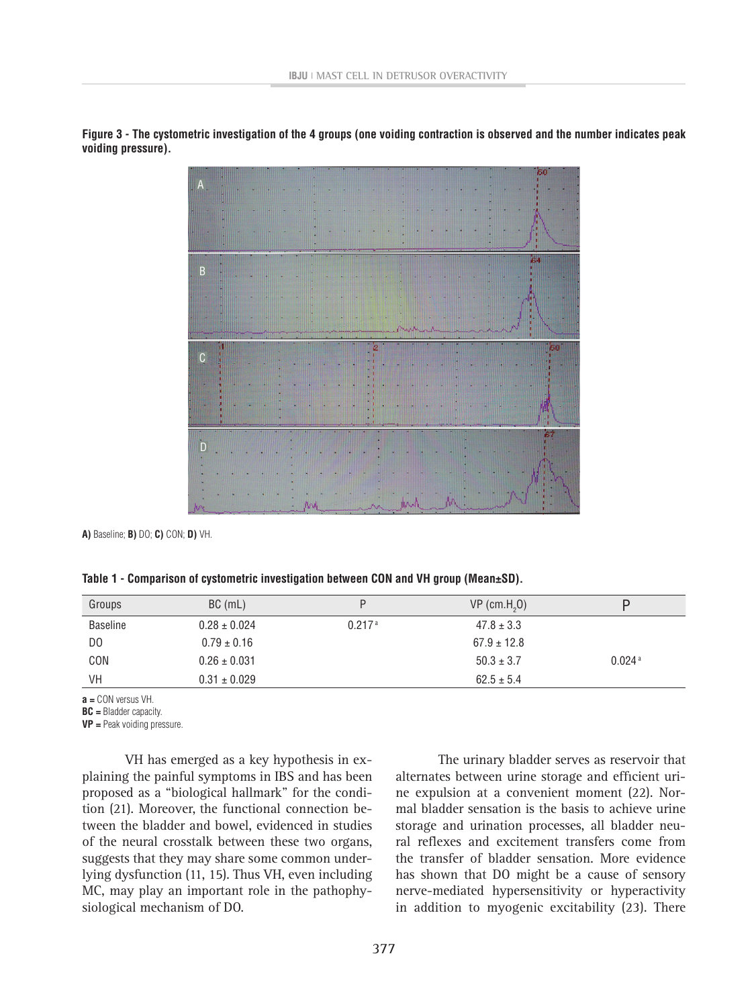

**Figure 3 - The cystometric investigation of the 4 groups (one voiding contraction is observed and the number indicates peak voiding pressure).**

**A)** Baseline; **B)** DO; **C)** CON; **D)** VH.

|  | Table 1 - Comparison of cystometric investigation between CON and VH group (Mean±SD). |  |  |  |  |  |
|--|---------------------------------------------------------------------------------------|--|--|--|--|--|
|--|---------------------------------------------------------------------------------------|--|--|--|--|--|

| Groups          | $BC$ (mL)        |                    | $VP$ (cm.H <sub>2</sub> O) |                      |
|-----------------|------------------|--------------------|----------------------------|----------------------|
| <b>Baseline</b> | $0.28 \pm 0.024$ | 0.217 <sup>a</sup> | $47.8 \pm 3.3$             |                      |
| D <sub>0</sub>  | $0.79 \pm 0.16$  |                    | $67.9 \pm 12.8$            |                      |
| CON             | $0.26 \pm 0.031$ |                    | $50.3 \pm 3.7$             | $0.024$ <sup>a</sup> |
| <b>VH</b>       | $0.31 \pm 0.029$ |                    | $62.5 \pm 5.4$             |                      |

**a =** CON versus VH.

**BC =** Bladder capacity.

**VP =** Peak voiding pressure.

VH has emerged as a key hypothesis in explaining the painful symptoms in IBS and has been proposed as a "biological hallmark" for the condition (21). Moreover, the functional connection between the bladder and bowel, evidenced in studies of the neural crosstalk between these two organs, suggests that they may share some common underlying dysfunction (11, 15). Thus VH, even including MC, may play an important role in the pathophysiological mechanism of DO.

The urinary bladder serves as reservoir that alternates between urine storage and efficient urine expulsion at a convenient moment (22). Normal bladder sensation is the basis to achieve urine storage and urination processes, all bladder neural reflexes and excitement transfers come from the transfer of bladder sensation. More evidence has shown that DO might be a cause of sensory nerve-mediated hypersensitivity or hyperactivity in addition to myogenic excitability (23). There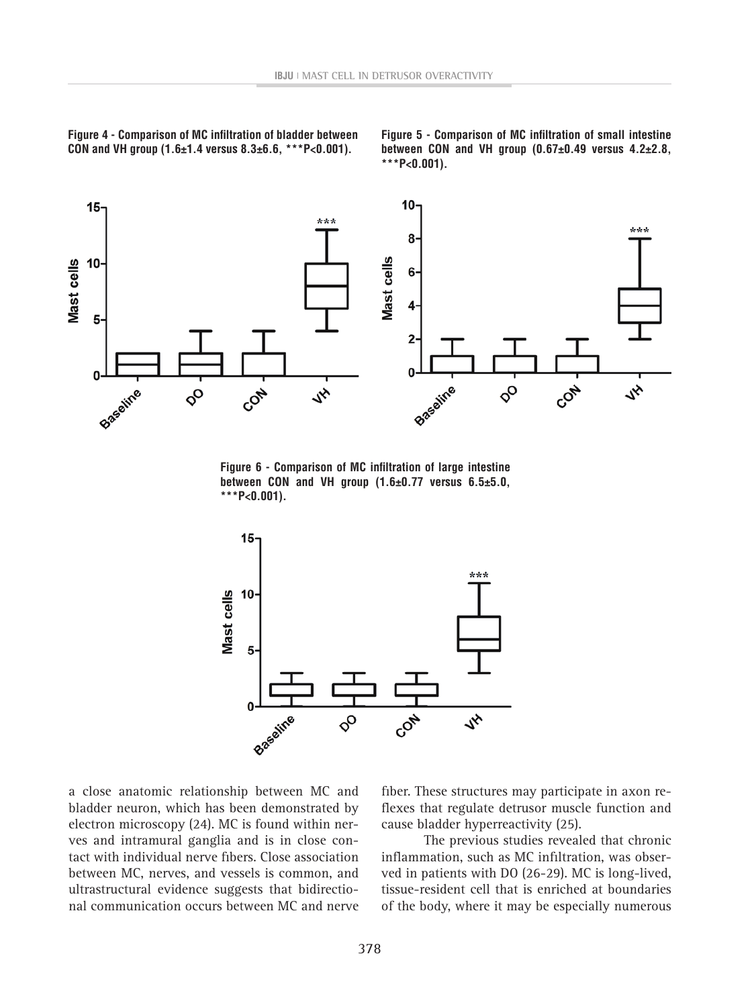**Figure 4 - Comparison of MC infiltration of bladder between CON and VH group (1.6±1.4 versus 8.3±6.6, \*\*\*P<0.001).**

**Figure 5 - Comparison of MC infiltration of small intestine between CON and VH group (0.67±0.49 versus 4.2±2.8, \*\*\*P<0.001).**



**Figure 6 - Comparison of MC infiltration of large intestine between CON and VH group (1.6±0.77 versus 6.5±5.0, \*\*\*P<0.001).**



a close anatomic relationship between MC and bladder neuron, which has been demonstrated by electron microscopy (24). MC is found within nerves and intramural ganglia and is in close contact with individual nerve fibers. Close association between MC, nerves, and vessels is common, and ultrastructural evidence suggests that bidirectional communication occurs between MC and nerve fiber. These structures may participate in axon reflexes that regulate detrusor muscle function and cause bladder hyperreactivity (25).

The previous studies revealed that chronic inflammation, such as MC infiltration, was observed in patients with DO (26-29). MC is long-lived, tissue-resident cell that is enriched at boundaries of the body, where it may be especially numerous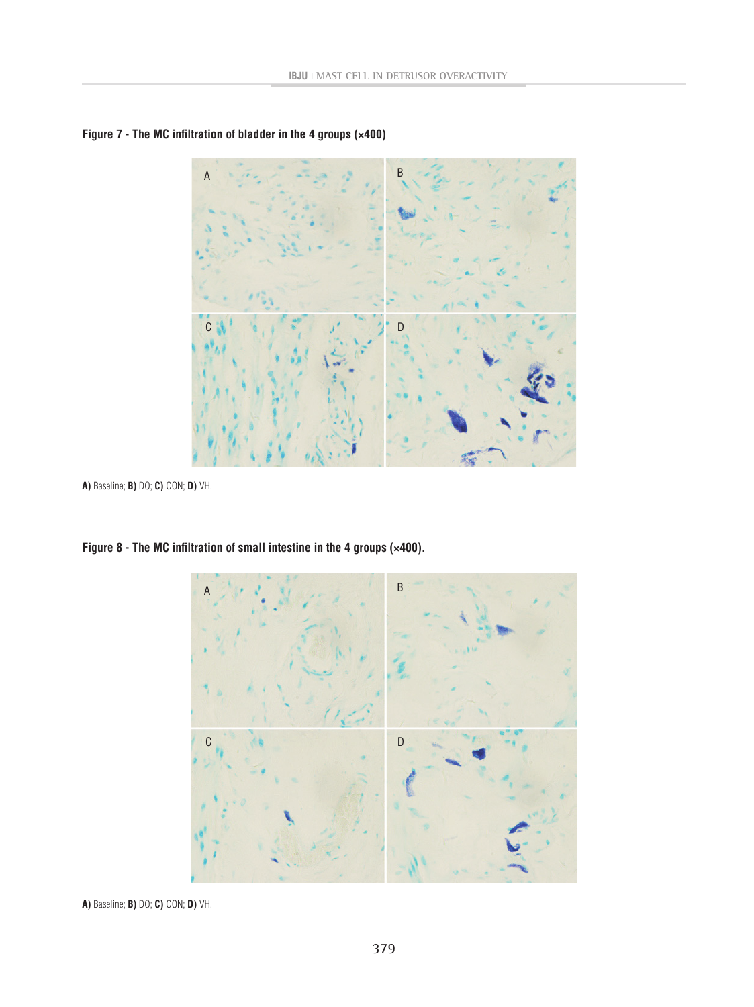



**A)** Baseline; **B)** DO; **C)** CON; **D)** VH.



**Figure 8 - The MC infiltration of small intestine in the 4 groups (×400).** 

**A)** Baseline; **B)** DO; **C)** CON; **D)** VH.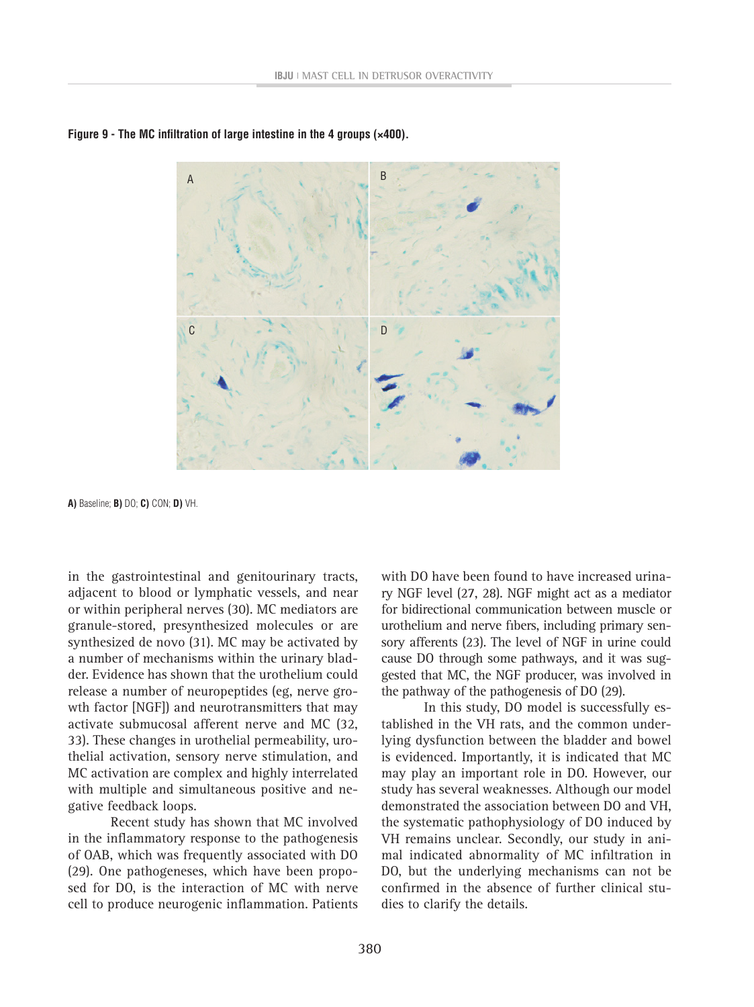

**Figure 9 - The MC infiltration of large intestine in the 4 groups (×400).** 

**A)** Baseline; **B)** DO; **C)** CON; **D)** VH.

in the gastrointestinal and genitourinary tracts, adjacent to blood or lymphatic vessels, and near or within peripheral nerves (30). MC mediators are granule-stored, presynthesized molecules or are synthesized de novo (31). MC may be activated by a number of mechanisms within the urinary bladder. Evidence has shown that the urothelium could release a number of neuropeptides (eg, nerve growth factor [NGF]) and neurotransmitters that may activate submucosal afferent nerve and MC (32, 33). These changes in urothelial permeability, urothelial activation, sensory nerve stimulation, and MC activation are complex and highly interrelated with multiple and simultaneous positive and negative feedback loops.

Recent study has shown that MC involved in the inflammatory response to the pathogenesis of OAB, which was frequently associated with DO (29). One pathogeneses, which have been proposed for DO, is the interaction of MC with nerve cell to produce neurogenic inflammation. Patients

with DO have been found to have increased urinary NGF level (27, 28). NGF might act as a mediator for bidirectional communication between muscle or urothelium and nerve fibers, including primary sensory afferents (23). The level of NGF in urine could cause DO through some pathways, and it was suggested that MC, the NGF producer, was involved in the pathway of the pathogenesis of DO (29).

In this study, DO model is successfully established in the VH rats, and the common underlying dysfunction between the bladder and bowel is evidenced. Importantly, it is indicated that MC may play an important role in DO. However, our study has several weaknesses. Although our model demonstrated the association between DO and VH, the systematic pathophysiology of DO induced by VH remains unclear. Secondly, our study in animal indicated abnormality of MC infiltration in DO, but the underlying mechanisms can not be confirmed in the absence of further clinical studies to clarify the details.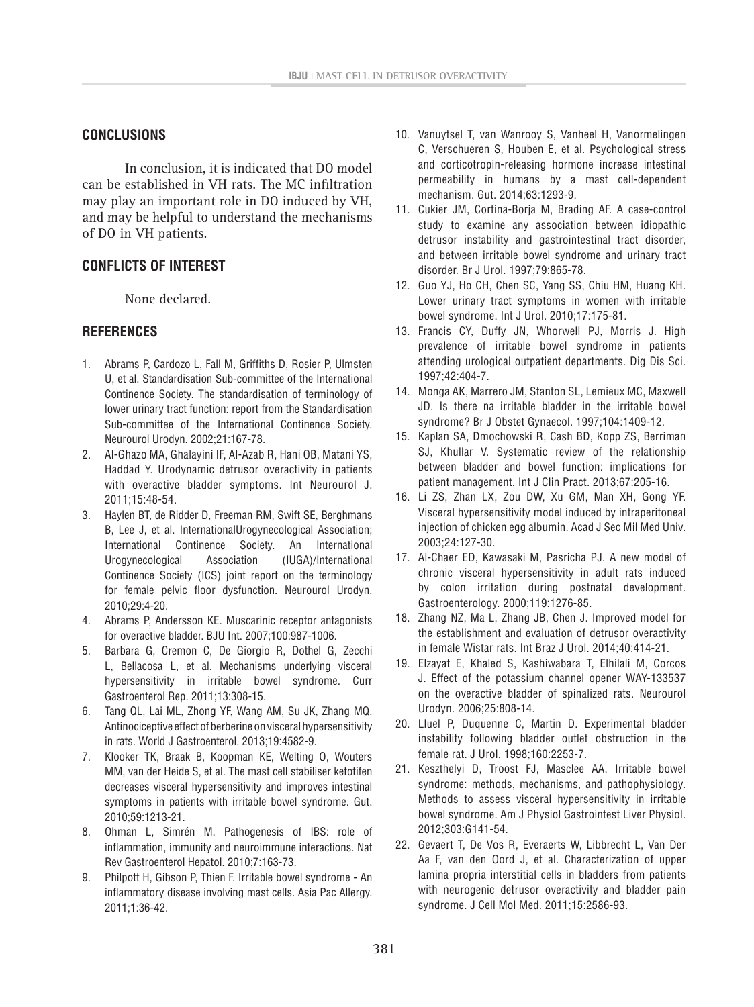# **CONCLUSIONS**

In conclusion, it is indicated that DO model can be established in VH rats. The MC infiltration may play an important role in DO induced by VH, and may be helpful to understand the mechanisms of DO in VH patients.

# **CONFLICTS OF INTEREST**

None declared.

# **REFERENCES**

- 1. Abrams P, Cardozo L, Fall M, Griffiths D, Rosier P, Ulmsten U, et al. Standardisation Sub-committee of the International Continence Society. The standardisation of terminology of lower urinary tract function: report from the Standardisation Sub-committee of the International Continence Society. Neurourol Urodyn. 2002;21:167-78.
- 2. Al-Ghazo MA, Ghalayini IF, Al-Azab R, Hani OB, Matani YS, Haddad Y. Urodynamic detrusor overactivity in patients with overactive bladder symptoms. Int Neurourol J. 2011;15:48-54.
- 3. Haylen BT, de Ridder D, Freeman RM, Swift SE, Berghmans B, Lee J, et al. InternationalUrogynecological Association; International Continence Society. An International Urogynecological Association (IUGA)/International Continence Society (ICS) joint report on the terminology for female pelvic floor dysfunction. Neurourol Urodyn. 2010;29:4-20.
- 4. Abrams P, Andersson KE. Muscarinic receptor antagonists for overactive bladder. BJU Int. 2007;100:987-1006.
- 5. Barbara G, Cremon C, De Giorgio R, Dothel G, Zecchi L, Bellacosa L, et al. Mechanisms underlying visceral hypersensitivity in irritable bowel syndrome. Curr Gastroenterol Rep. 2011;13:308-15.
- 6. Tang QL, Lai ML, Zhong YF, Wang AM, Su JK, Zhang MQ. Antinociceptive effect of berberine on visceral hypersensitivity in rats. World J Gastroenterol. 2013;19:4582-9.
- 7. Klooker TK, Braak B, Koopman KE, Welting O, Wouters MM, van der Heide S, et al. The mast cell stabiliser ketotifen decreases visceral hypersensitivity and improves intestinal symptoms in patients with irritable bowel syndrome. Gut. 2010;59:1213-21.
- 8. Ohman L, Simrén M. Pathogenesis of IBS: role of inflammation, immunity and neuroimmune interactions. Nat Rev Gastroenterol Hepatol. 2010;7:163-73.
- 9. Philpott H, Gibson P, Thien F. Irritable bowel syndrome An inflammatory disease involving mast cells. Asia Pac Allergy. 2011;1:36-42.
- 10. Vanuytsel T, van Wanrooy S, Vanheel H, Vanormelingen C, Verschueren S, Houben E, et al. Psychological stress and corticotropin-releasing hormone increase intestinal permeability in humans by a mast cell-dependent mechanism. Gut. 2014;63:1293-9.
- 11. Cukier JM, Cortina-Borja M, Brading AF. A case-control study to examine any association between idiopathic detrusor instability and gastrointestinal tract disorder, and between irritable bowel syndrome and urinary tract disorder. Br J Urol. 1997;79:865-78.
- 12. Guo YJ, Ho CH, Chen SC, Yang SS, Chiu HM, Huang KH. Lower urinary tract symptoms in women with irritable bowel syndrome. Int J Urol. 2010;17:175-81.
- 13. Francis CY, Duffy JN, Whorwell PJ, Morris J. High prevalence of irritable bowel syndrome in patients attending urological outpatient departments. Dig Dis Sci. 1997;42:404-7.
- 14. Monga AK, Marrero JM, Stanton SL, Lemieux MC, Maxwell JD. Is there na irritable bladder in the irritable bowel syndrome? Br J Obstet Gynaecol. 1997;104:1409-12.
- 15. Kaplan SA, Dmochowski R, Cash BD, Kopp ZS, Berriman SJ, Khullar V. Systematic review of the relationship between bladder and bowel function: implications for patient management. Int J Clin Pract. 2013;67:205-16.
- 16. Li ZS, Zhan LX, Zou DW, Xu GM, Man XH, Gong YF. Visceral hypersensitivity model induced by intraperitoneal injection of chicken egg albumin. Acad J Sec Mil Med Univ. 2003;24:127-30.
- 17. Al-Chaer ED, Kawasaki M, Pasricha PJ. A new model of chronic visceral hypersensitivity in adult rats induced by colon irritation during postnatal development. Gastroenterology. 2000;119:1276-85.
- 18. Zhang NZ, Ma L, Zhang JB, Chen J. Improved model for the establishment and evaluation of detrusor overactivity in female Wistar rats. Int Braz J Urol. 2014;40:414-21.
- 19. Elzayat E, Khaled S, Kashiwabara T, Elhilali M, Corcos J. Effect of the potassium channel opener WAY-133537 on the overactive bladder of spinalized rats. Neurourol Urodyn. 2006;25:808-14.
- 20. Lluel P, Duquenne C, Martin D. Experimental bladder instability following bladder outlet obstruction in the female rat. J Urol. 1998;160:2253-7.
- 21. Keszthelyi D, Troost FJ, Masclee AA. Irritable bowel syndrome: methods, mechanisms, and pathophysiology. Methods to assess visceral hypersensitivity in irritable bowel syndrome. Am J Physiol Gastrointest Liver Physiol. 2012;303:G141-54.
- 22. Gevaert T, De Vos R, Everaerts W, Libbrecht L, Van Der Aa F, van den Oord J, et al. Characterization of upper lamina propria interstitial cells in bladders from patients with neurogenic detrusor overactivity and bladder pain syndrome. J Cell Mol Med. 2011;15:2586-93.